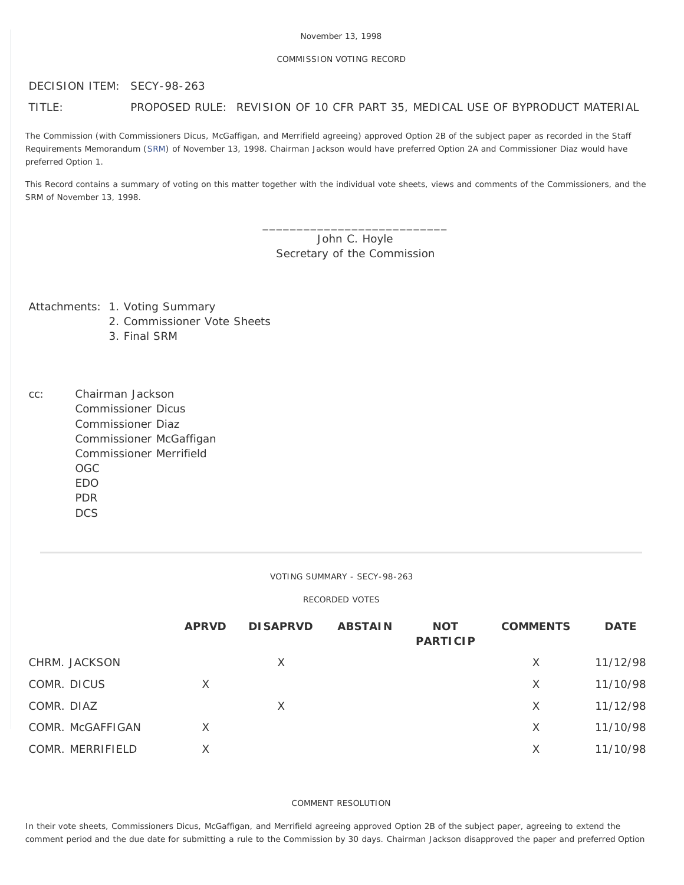# COMMISSION VOTING RECORD

DECISION ITEM: SECY-98-263

# TITLE: PROPOSED RULE: REVISION OF 10 CFR PART 35, MEDICAL USE OF BYPRODUCT MATERIAL

The Commission (with Commissioners Dicus, McGaffigan, and Merrifield agreeing) approved Option 2B of the subject paper as recorded in the Staff Requirements Memorandum ([SRM](http://www.nrc.gov/reading-rm/doc-collections/commission/srm/1998/1998-263srm.html)) of November 13, 1998. Chairman Jackson would have preferred Option 2A and Commissioner Diaz would have preferred Option 1.

This Record contains a summary of voting on this matter together with the individual vote sheets, views and comments of the Commissioners, and the SRM of November 13, 1998.

> \_\_\_\_\_\_\_\_\_\_\_\_\_\_\_\_\_\_\_\_\_\_\_\_\_\_\_ John C. Hoyle Secretary of the Commission

Attachments: 1. Voting Summary

- 2. Commissioner Vote Sheets
- 3. Final SRM
- cc: Chairman Jackson Commissioner Dicus Commissioner Diaz Commissioner McGaffigan Commissioner Merrifield OGC EDO PDR **DCS**

#### VOTING SUMMARY - SECY-98-263

## RECORDED VOTES

|                  | <b>APRVD</b> | <b>DISAPRVD</b> | <b>ABSTAIN</b> | <b>NOT</b><br><b>PARTICIP</b> | <b>COMMENTS</b> | <b>DATE</b> |
|------------------|--------------|-----------------|----------------|-------------------------------|-----------------|-------------|
| CHRM. JACKSON    |              | X               |                |                               | X               | 11/12/98    |
| COMR. DICUS      | $\times$     |                 |                |                               | X               | 11/10/98    |
| COMR. DIAZ       |              | X               |                |                               | X               | 11/12/98    |
| COMR. McGAFFIGAN | X            |                 |                |                               | X               | 11/10/98    |
| COMR. MERRIFIELD | Χ            |                 |                |                               | X               | 11/10/98    |

#### COMMENT RESOLUTION

In their vote sheets, Commissioners Dicus, McGaffigan, and Merrifield agreeing approved Option 2B of the subject paper, agreeing to extend the comment period and the due date for submitting a rule to the Commission by 30 days. Chairman Jackson disapproved the paper and preferred Option